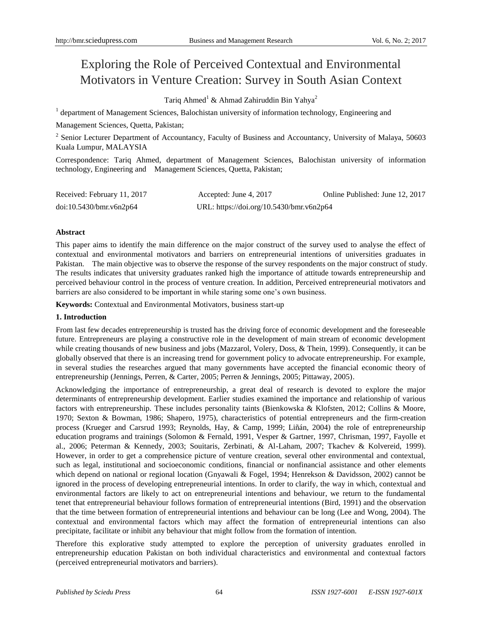# Exploring the Role of Perceived Contextual and Environmental Motivators in Venture Creation: Survey in South Asian Context

Tariq Ahmed<sup>1</sup> & Ahmad Zahiruddin Bin Yahya<sup>2</sup>

<sup>1</sup> department of Management Sciences, Balochistan university of information technology, Engineering and

Management Sciences, Quetta, Pakistan;

<sup>2</sup> Senior Lecturer Department of Accountancy, Faculty of Business and Accountancy, University of Malaya, 50603 Kuala Lumpur, MALAYSIA

Correspondence: Tariq Ahmed, department of Management Sciences, Balochistan university of information technology, Engineering and Management Sciences, Quetta, Pakistan;

| Received: February 11, 2017 | Accepted: June 4, 2017                   | Online Published: June 12, 2017 |
|-----------------------------|------------------------------------------|---------------------------------|
| doi:10.5430/bmr.v6n2p64     | URL: https://doi.org/10.5430/bmr.v6n2p64 |                                 |

### **Abstract**

This paper aims to identify the main difference on the major construct of the survey used to analyse the effect of contextual and environmental motivators and barriers on entrepreneurial intentions of universities graduates in Pakistan. The main objective was to observe the response of the survey respondents on the major construct of study. The results indicates that university graduates ranked high the importance of attitude towards entrepreneurship and perceived behaviour control in the process of venture creation. In addition, Perceived entrepreneurial motivators and barriers are also considered to be important in while staring some one's own business.

**Keywords:** Contextual and Environmental Motivators, business start-up

## **1. Introduction**

From last few decades entrepreneurship is trusted has the driving force of economic development and the foreseeable future. Entrepreneurs are playing a constructive role in the development of main stream of economic development while creating thousands of new business and jobs (Mazzarol, Volery, Doss, & Thein, 1999). Consequently, it can be globally observed that there is an increasing trend for government policy to advocate entrepreneurship. For example, in several studies the researches argued that many governments have accepted the financial economic theory of entrepreneurship (Jennings, Perren, & Carter, 2005; Perren & Jennings, 2005; Pittaway, 2005).

Acknowledging the importance of entrepreneurship, a great deal of research is devoted to explore the major determinants of entrepreneurship development. Earlier studies examined the importance and relationship of various factors with entrepreneurship. These includes personality taints (Bienkowska & Klofsten, 2012; Collins & Moore, 1970; Sexton & Bowman, 1986; Shapero, 1975), characteristics of potential entrepreneurs and the firm-creation process (Krueger and Carsrud 1993; Reynolds, Hay, & Camp, 1999; Liñán, 2004) the role of entrepreneurship education programs and trainings (Solomon & Fernald, 1991, Vesper & Gartner, 1997, Chrisman, 1997, Fayolle et al., 2006; Peterman & Kennedy, 2003; Souitaris, Zerbinati, & Al-Laham, 2007; Tkachev & Kolvereid, 1999). However, in order to get a comprehensice picture of venture creation, several other environmental and contextual, such as legal, institutional and socioeconomic conditions, financial or nonfinancial assistance and other elements which depend on national or regional location (Gnyawali & Fogel, 1994; Henrekson & Davidsson, 2002) cannot be ignored in the process of developing entrepreneurial intentions. In order to clarify, the way in which, contextual and environmental factors are likely to act on entrepreneurial intentions and behaviour, we return to the fundamental tenet that entrepreneurial behaviour follows formation of entrepreneurial intentions (Bird, 1991) and the observation that the time between formation of entrepreneurial intentions and behaviour can be long (Lee and Wong, 2004). The contextual and environmental factors which may affect the formation of entrepreneurial intentions can also precipitate, facilitate or inhibit any behaviour that might follow from the formation of intention.

Therefore this explorative study attempted to explore the perception of university graduates enrolled in entrepreneurship education Pakistan on both individual characteristics and environmental and contextual factors (perceived entrepreneurial motivators and barriers).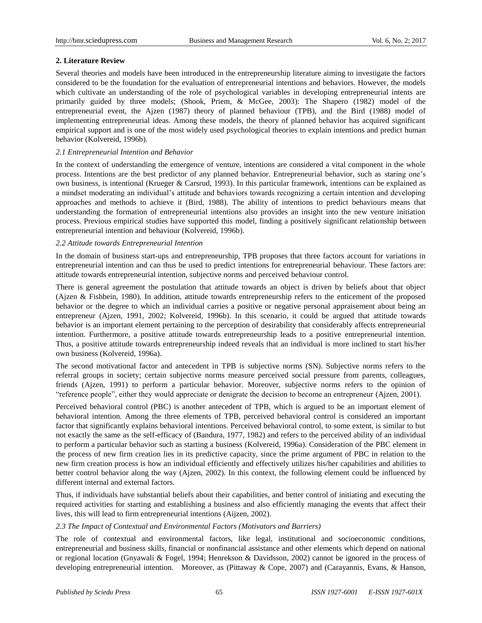## **2. Literature Review**

Several theories and models have been introduced in the entrepreneurship literature aiming to investigate the factors considered to be the foundation for the evaluation of entrepreneurial intentions and behaviors. However, the models which cultivate an understanding of the role of psychological variables in developing entrepreneurial intents are primarily guided by three models; [\(Shook, Priem, & McGee, 2003\)](#page-8-0): The Shapero (1982) model of the entrepreneurial event, the Ajzen (1987) theory of planned behaviour (TPB), and the Bird (1988) model of implementing entrepreneurial ideas. Among these models, the theory of planned behavior has acquired significant empirical support and is one of the most widely used psychological theories to explain intentions and predict human behavior (Kolvereid, 1996b).

## *2.1 Entrepreneurial Intention and Behavior*

In the context of understanding the emergence of venture, intentions are considered a vital component in the whole process. Intentions are the best predictor of any planned behavior. Entrepreneurial behavior, such as staring one's own business, is intentional [\(Krueger & Carsrud, 1993\)](#page-8-1). In this particular framework, intentions can be explained as a mindset moderating an individual's attitude and behaviors towards recognizing a certain intention and developing approaches and methods to achieve it (Bird, 1988). The ability of intentions to predict behaviours means that understanding the formation of entrepreneurial intentions also provides an insight into the new venture initiation process. Previous empirical studies have supported this model, finding a positively significant relationship between entrepreneurial intention and behaviour (Kolvereid, 1996b).

## *2.2 Attitude towards Entrepreneurial Intention*

In the domain of business start-ups and entrepreneurship, TPB proposes that three factors account for variations in entrepreneurial intention and can thus be used to predict intentions for entrepreneurial behaviour. These factors are: attitude towards entrepreneurial intention, subjective norms and perceived behaviour control.

There is general agreement the postulation that attitude towards an object is driven by beliefs about that object (Ajzen & Fishbein, 1980). In addition, attitude towards entrepreneurship refers to the enticement of the proposed behavior or the degree to which an individual carries a positive or negative personal appraisement about being an entrepreneur (Ajzen, 1991, 2002; Kolvereid, 1996b). In this scenario, it could be argued that attitude towards behavior is an important element pertaining to the perception of desirability that considerably affects entrepreneurial intention. Furthermore, a positive attitude towards entrepreneurship leads to a positive entrepreneurial intention. Thus, a positive attitude towards entrepreneurship indeed reveals that an individual is more inclined to start his/her own business (Kolvereid, 1996a).

The second motivational factor and antecedent in TPB is subjective norms (SN). Subjective norms refers to the referral groups in society; certain subjective norms measure perceived social pressure from parents, colleagues, friends (Ajzen, 1991) to perform a particular behavior. Moreover, subjective norms refers to the opinion of "reference people", either they would appreciate or denigrate the decision to become an entrepreneur (Ajzen, 2001).

Perceived behavioral control (PBC) is another antecedent of TPB, which is argued to be an important element of behavioral intention. Among the three elements of TPB, perceived behavioral control is considered an important factor that significantly explains behavioral intentions. Perceived behavioral control, to some extent, is similar to but not exactly the same as the self-efficacy of (Bandura, 1977, 1982) and refers to the perceived ability of an individual to perform a particular behavior such as starting a business (Kolvereid, 1996a). Consideration of the PBC element in the process of new firm creation lies in its predictive capacity, since the prime argument of PBC in relation to the new firm creation process is how an individual efficiently and effectively utilizes his/her capabilities and abilities to better control behavior along the way (Ajzen, 2002). In this context, the following element could be influenced by different internal and external factors.

Thus, if individuals have substantial beliefs about their capabilities, and better control of initiating and executing the required activities for starting and establishing a business and also efficiently managing the events that affect their lives, this will lead to firm entrepreneurial intentions (Aijzen, 2002).

## *2.3 The Impact of Contextual and Environmental Factors (Motivators and Barriers)*

The role of contextual and environmental factors, like legal, institutional and socioeconomic conditions, entrepreneurial and business skills, financial or nonfinancial assistance and other elements which depend on national or regional location (Gnyawali & Fogel, 1994; Henrekson & Davidsson, 2002) cannot be ignored in the process of developing entrepreneurial intention. Moreover, as [\(Pittaway & Cope, 2007\)](#page-8-2) and (Carayannis, Evans, & Hanson,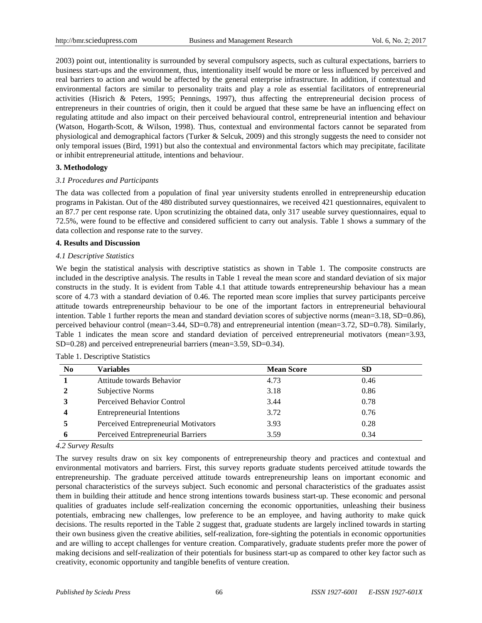2003) point out, intentionality is surrounded by several compulsory aspects, such as cultural expectations, barriers to business start-ups and the environment, thus, intentionality itself would be more or less influenced by perceived and real barriers to action and would be affected by the general enterprise infrastructure. In addition, if contextual and environmental factors are similar to personality traits and play a role as essential facilitators of entrepreneurial activities (Hisrich & Peters, 1995; Pennings, 1997), thus affecting the entrepreneurial decision process of entrepreneurs in their countries of origin, then it could be argued that these same be have an influencing effect on regulating attitude and also impact on their perceived behavioural control, entrepreneurial intention and behaviour [\(Watson, Hogarth-Scott, & Wilson, 1998\)](#page-8-3). Thus, contextual and environmental factors cannot be separated from physiological and demographical factors [\(Turker & Selcuk, 2009\)](#page-8-4) and this strongly suggests the need to consider not only temporal issues (Bird, 1991) but also the contextual and environmental factors which may precipitate, facilitate or inhibit entrepreneurial attitude, intentions and behaviour.

## **3. Methodology**

### *3.1 Procedures and Participants*

The data was collected from a population of final year university students enrolled in entrepreneurship education programs in Pakistan. Out of the 480 distributed survey questionnaires, we received 421 questionnaires, equivalent to an 87.7 per cent response rate. Upon scrutinizing the obtained data, only 317 useable survey questionnaires, equal to 72.5%, were found to be effective and considered sufficient to carry out analysis. Table 1 shows a summary of the data collection and response rate to the survey.

### **4. Results and Discussion**

### *4.1 Descriptive Statistics*

We begin the statistical analysis with descriptive statistics as shown in Table 1. The composite constructs are included in the descriptive analysis. The results in Table 1 reveal the mean score and standard deviation of six major constructs in the study. It is evident from Table 4.1 that attitude towards entrepreneurship behaviour has a mean score of 4.73 with a standard deviation of 0.46. The reported mean score implies that survey participants perceive attitude towards entrepreneurship behaviour to be one of the important factors in entrepreneurial behavioural intention. Table 1 further reports the mean and standard deviation scores of subjective norms (mean=3.18, SD=0.86), perceived behaviour control (mean=3.44, SD=0.78) and entrepreneurial intention (mean=3.72, SD=0.78). Similarly, Table 1 indicates the mean score and standard deviation of perceived entrepreneurial motivators (mean=3.93, SD=0.28) and perceived entrepreneurial barriers (mean=3.59, SD=0.34).

| N <sub>0</sub> | <b>Variables</b>                     | <b>Mean Score</b> | <b>SD</b> |
|----------------|--------------------------------------|-------------------|-----------|
|                | Attitude towards Behavior            | 4.73              | 0.46      |
|                | Subjective Norms                     | 3.18              | 0.86      |
|                | Perceived Behavior Control           | 3.44              | 0.78      |
|                | <b>Entrepreneurial Intentions</b>    | 3.72              | 0.76      |
|                | Perceived Entrepreneurial Motivators | 3.93              | 0.28      |
| 6              | Perceived Entrepreneurial Barriers   | 3.59              | 0.34      |

Table 1. Descriptive Statistics

## *4.2 Survey Results*

The survey results draw on six key components of entrepreneurship theory and practices and contextual and environmental motivators and barriers. First, this survey reports graduate students perceived attitude towards the entrepreneurship. The graduate perceived attitude towards entrepreneurship leans on important economic and personal characteristics of the surveys subject. Such economic and personal characteristics of the graduates assist them in building their attitude and hence strong intentions towards business start-up. These economic and personal qualities of graduates include self-realization concerning the economic opportunities, unleashing their business potentials, embracing new challenges, low preference to be an employee, and having authority to make quick decisions. The results reported in the Table 2 suggest that, graduate students are largely inclined towards in starting their own business given the creative abilities, self-realization, fore-sighting the potentials in economic opportunities and are willing to accept challenges for venture creation. Comparatively, graduate students prefer more the power of making decisions and self-realization of their potentials for business start-up as compared to other key factor such as creativity, economic opportunity and tangible benefits of venture creation.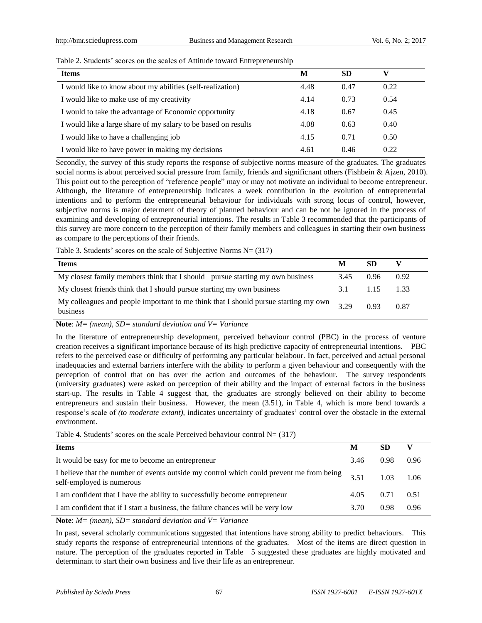#### Table 2. Students' scores on the scales of Attitude toward Entrepreneurship

| <b>Items</b>                                                   | M    | <b>SD</b> |      |
|----------------------------------------------------------------|------|-----------|------|
| I would like to know about my abilities (self-realization)     | 4.48 | 0.47      | 0.22 |
| I would like to make use of my creativity                      | 4.14 | 0.73      | 0.54 |
| I would to take the advantage of Economic opportunity          | 4.18 | 0.67      | 0.45 |
| I would like a large share of my salary to be based on results | 4.08 | 0.63      | 0.40 |
| I would like to have a challenging job                         | 4.15 | 0.71      | 0.50 |
| I would like to have power in making my decisions              | 4.61 | 0.46      | 0.22 |

Secondly, the survey of this study reports the response of subjective norms measure of the graduates. The graduates social norms is about perceived social pressure from family, friends and significnant others (Fishbein & Ajzen, 2010). This point out to the perception of "reference people" may or may not motivate an individual to become entrepreneur. Although, the literature of entrepreneurship indicates a week contribution in the evolution of entrepreneurial intentions and to perform the entrepreneurial behaviour for individuals with strong locus of control, however, subjective norms is major determent of theory of planned behaviour and can be not be ignored in the process of examining and developing of entrepreneurial intentions. The results in Table 3 recommended that the participants of this survey are more concern to the perception of their family members and colleagues in starting their own business as compare to the perceptions of their friends.

Table 3. Students' scores on the scale of Subjective Norms N= (317)

| Items                                                                                           | M    | SD   |      |
|-------------------------------------------------------------------------------------------------|------|------|------|
| My closest family members think that I should pursue starting my own business                   | 3.45 | 0.96 | 0.92 |
| My closest friends think that I should pursue starting my own business                          | 3.1  | 1.15 | 1.33 |
| My colleagues and people important to me think that I should pursue starting my own<br>business | 3.29 | 0.93 | 0.87 |

### **Note**: *M= (mean), SD= standard deviation and V= Variance*

In the literature of entrepreneurship development, perceived behaviour control (PBC) in the process of venture creation receives a significant importance because of its high predictive capacity of entrepreneurial intentions. PBC refers to the perceived ease or difficulty of performing any particular belabour. In fact, perceived and actual personal inadequacies and external barriers interfere with the ability to perform a given behaviour and consequently with the perception of control that on has over the action and outcomes of the behaviour. The survey respondents (university graduates) were asked on perception of their ability and the impact of external factors in the business start-up. The results in Table 4 suggest that, the graduates are strongly believed on their ability to become entrepreneurs and sustain their business. However, the mean (3.51), in Table 4, which is more bend towards a response's scale of *(to moderate extant),* indicates uncertainty of graduates' control over the obstacle in the external environment.

Table 4. Students' scores on the scale Perceived behaviour control  $N = (317)$ 

| <b>Items</b>                                                                                                          | M    | SD   | V    |
|-----------------------------------------------------------------------------------------------------------------------|------|------|------|
| It would be easy for me to become an entrepreneur                                                                     | 3.46 | 0.98 | 0.96 |
| I believe that the number of events outside my control which could prevent me from being<br>self-employed is numerous | 3.51 | 1.03 | 1.06 |
| I am confident that I have the ability to successfully become entrepreneur                                            | 4.05 | 0.71 | 0.51 |
| I am confident that if I start a business, the failure chances will be very low                                       | 3.70 | 0.98 | 0.96 |

**Note**: *M= (mean), SD= standard deviation and V= Variance*

In past, several scholarly communications suggested that intentions have strong ability to predict behaviours. This study reports the response of entrepreneurial intentions of the graduates. Most of the items are direct question in nature. The perception of the graduates reported in Table 5 suggested these graduates are highly motivated and determinant to start their own business and live their life as an entrepreneur.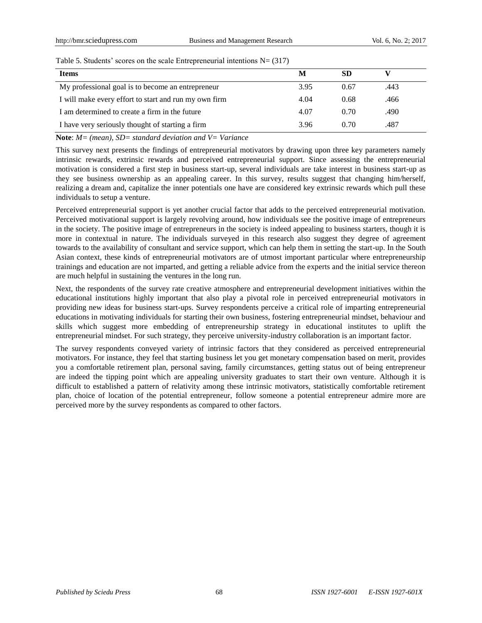| Table 5. Students Scores on the searc Emergenemental intentions $\mathbf{N} = (317)$<br><b>Items</b> | M    | <b>SD</b> |      |  |
|------------------------------------------------------------------------------------------------------|------|-----------|------|--|
| My professional goal is to become an entrepreneur                                                    | 3.95 | 0.67      | .443 |  |
| I will make every effort to start and run my own firm                                                | 4.04 | 0.68      | .466 |  |
| I am determined to create a firm in the future                                                       | 4.07 | 0.70      | .490 |  |
| I have very seriously thought of starting a firm                                                     | 3.96 | 0.70      | .487 |  |

Table 5. Students' scores on the scale Entrepreneurial intentions N= (317)

**Note**: *M= (mean), SD= standard deviation and V= Variance*

This survey next presents the findings of entrepreneurial motivators by drawing upon three key parameters namely intrinsic rewards, extrinsic rewards and perceived entrepreneurial support. Since assessing the entrepreneurial motivation is considered a first step in business start-up, several individuals are take interest in business start-up as they see business ownership as an appealing career. In this survey, results suggest that changing him/herself, realizing a dream and, capitalize the inner potentials one have are considered key extrinsic rewards which pull these individuals to setup a venture.

Perceived entrepreneurial support is yet another crucial factor that adds to the perceived entrepreneurial motivation. Perceived motivational support is largely revolving around, how individuals see the positive image of entrepreneurs in the society. The positive image of entrepreneurs in the society is indeed appealing to business starters, though it is more in contextual in nature. The individuals surveyed in this research also suggest they degree of agreement towards to the availability of consultant and service support, which can help them in setting the start-up. In the South Asian context, these kinds of entrepreneurial motivators are of utmost important particular where entrepreneurship trainings and education are not imparted, and getting a reliable advice from the experts and the initial service thereon are much helpful in sustaining the ventures in the long run.

Next, the respondents of the survey rate creative atmosphere and entrepreneurial development initiatives within the educational institutions highly important that also play a pivotal role in perceived entrepreneurial motivators in providing new ideas for business start-ups. Survey respondents perceive a critical role of imparting entrepreneurial educations in motivating individuals for starting their own business, fostering entrepreneurial mindset, behaviour and skills which suggest more embedding of entrepreneurship strategy in educational institutes to uplift the entrepreneurial mindset. For such strategy, they perceive university-industry collaboration is an important factor.

The survey respondents conveyed variety of intrinsic factors that they considered as perceived entrepreneurial motivators. For instance, they feel that starting business let you get monetary compensation based on merit, provides you a comfortable retirement plan, personal saving, family circumstances, getting status out of being entrepreneur are indeed the tipping point which are appealing university graduates to start their own venture. Although it is difficult to established a pattern of relativity among these intrinsic motivators, statistically comfortable retirement plan, choice of location of the potential entrepreneur, follow someone a potential entrepreneur admire more are perceived more by the survey respondents as compared to other factors.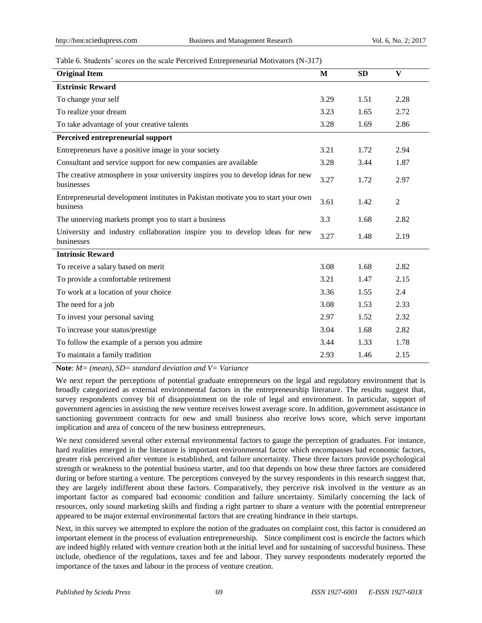Table 6. Students' scores on the scale Perceived Entrepreneurial Motivators (N-317)

| <b>Original Item</b>                                                                           | M    | <b>SD</b> | $\mathbf{V}$   |
|------------------------------------------------------------------------------------------------|------|-----------|----------------|
| <b>Extrinsic Reward</b>                                                                        |      |           |                |
| To change your self                                                                            | 3.29 | 1.51      | 2.28           |
| To realize your dream                                                                          | 3.23 | 1.65      | 2.72           |
| To take advantage of your creative talents                                                     | 3.28 | 1.69      | 2.86           |
| Perceived entrepreneurial support                                                              |      |           |                |
| Entrepreneurs have a positive image in your society                                            | 3.21 | 1.72      | 2.94           |
| Consultant and service support for new companies are available                                 | 3.28 | 3.44      | 1.87           |
| The creative atmosphere in your university inspires you to develop ideas for new<br>businesses | 3.27 | 1.72      | 2.97           |
| Entrepreneurial development institutes in Pakistan motivate you to start your own<br>business  | 3.61 | 1.42      | $\overline{2}$ |
| The unnerving markets prompt you to start a business                                           | 3.3  | 1.68      | 2.82           |
| University and industry collaboration inspire you to develop ideas for new<br>businesses       | 3.27 | 1.48      | 2.19           |
| <b>Intrinsic Reward</b>                                                                        |      |           |                |
| To receive a salary based on merit                                                             | 3.08 | 1.68      | 2.82           |
| To provide a comfortable retirement                                                            | 3.21 | 1.47      | 2.15           |
| To work at a location of your choice                                                           | 3.36 | 1.55      | 2.4            |
| The need for a job                                                                             | 3.08 | 1.53      | 2.33           |
| To invest your personal saving                                                                 | 2.97 | 1.52      | 2.32           |
| To increase your status/prestige                                                               | 3.04 | 1.68      | 2.82           |
| To follow the example of a person you admire                                                   | 3.44 | 1.33      | 1.78           |
| To maintain a family tradition                                                                 | 2.93 | 1.46      | 2.15           |

**Note**: *M= (mean), SD= standard deviation and V= Variance*

We next report the perceptions of potential graduate entrepreneurs on the legal and regulatory environment that is broadly categorized as external environmental factors in the entrepreneurship literature. The results suggest that, survey respondents convey bit of disappointment on the role of legal and environment. In particular, support of government agencies in assisting the new venture receives lowest average score. In addition, government assistance in sanctioning government contracts for new and small business also receive lows score, which serve important implication and area of concern of the new business entrepreneurs.

We next considered several other external environmental factors to gauge the perception of graduates. For instance, hard realities emerged in the literature is important environmental factor which encompasses bad economic factors, greater risk perceived after venture is established, and failure uncertainty. These three factors provide psychological strength or weakness to the potential business starter, and too that depends on how these three factors are considered during or before starting a venture. The perceptions conveyed by the survey respondents in this research suggest that, they are largely indifferent about these factors. Comparatively, they perceive risk involved in the venture as an important factor as compared bad economic condition and failure uncertainty. Similarly concerning the lack of resources, only sound marketing skills and finding a right partner to share a venture with the potential entrepreneur appeared to be major external environmental factors that are creating hindrance in their startups.

Next, in this survey we attempted to explore the notion of the graduates on complaint cost, this factor is considered an important element in the process of evaluation entrepreneurship. Since compliment cost is encircle the factors which are indeed highly related with venture creation both at the initial level and for sustaining of successful business. These include, obedience of the regulations, taxes and fee and labour. They survey respondents moderately reported the importance of the taxes and labour in the process of venture creation.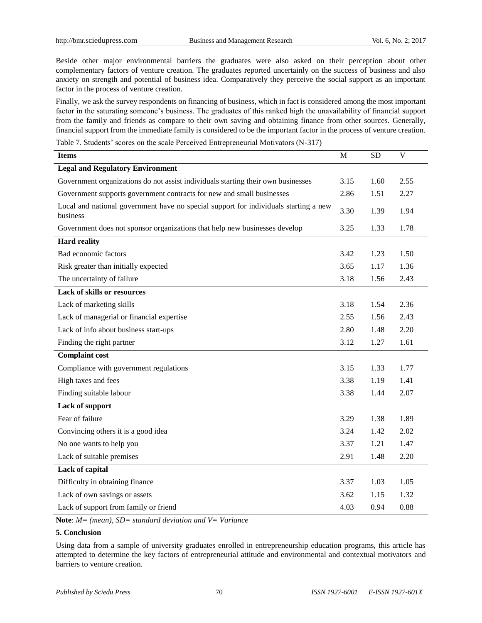Beside other major environmental barriers the graduates were also asked on their perception about other complementary factors of venture creation. The graduates reported uncertainly on the success of business and also anxiety on strength and potential of business idea. Comparatively they perceive the social support as an important factor in the process of venture creation.

Finally, we ask the survey respondents on financing of business, which in fact is considered among the most important factor in the saturating someone's business. The graduates of this ranked high the unavailability of financial support from the family and friends as compare to their own saving and obtaining finance from other sources. Generally, financial support from the immediate family is considered to be the important factor in the process of venture creation.

Table 7. Students' scores on the scale Perceived Entrepreneurial Motivators (N-317)

| <b>Items</b>                                                                                     | M    | <b>SD</b> | $\mathbf V$ |
|--------------------------------------------------------------------------------------------------|------|-----------|-------------|
| <b>Legal and Regulatory Environment</b>                                                          |      |           |             |
| Government organizations do not assist individuals starting their own businesses                 | 3.15 | 1.60      | 2.55        |
| Government supports government contracts for new and small businesses                            | 2.86 | 1.51      | 2.27        |
| Local and national government have no special support for individuals starting a new<br>business | 3.30 | 1.39      | 1.94        |
| Government does not sponsor organizations that help new businesses develop                       | 3.25 | 1.33      | 1.78        |
| <b>Hard reality</b>                                                                              |      |           |             |
| Bad economic factors                                                                             | 3.42 | 1.23      | 1.50        |
| Risk greater than initially expected                                                             | 3.65 | 1.17      | 1.36        |
| The uncertainty of failure                                                                       | 3.18 | 1.56      | 2.43        |
| <b>Lack of skills or resources</b>                                                               |      |           |             |
| Lack of marketing skills                                                                         | 3.18 | 1.54      | 2.36        |
| Lack of managerial or financial expertise                                                        | 2.55 | 1.56      | 2.43        |
| Lack of info about business start-ups                                                            | 2.80 | 1.48      | 2.20        |
| Finding the right partner                                                                        | 3.12 | 1.27      | 1.61        |
| <b>Complaint cost</b>                                                                            |      |           |             |
| Compliance with government regulations                                                           | 3.15 | 1.33      | 1.77        |
| High taxes and fees                                                                              | 3.38 | 1.19      | 1.41        |
| Finding suitable labour                                                                          | 3.38 | 1.44      | 2.07        |
| Lack of support                                                                                  |      |           |             |
| Fear of failure                                                                                  | 3.29 | 1.38      | 1.89        |
| Convincing others it is a good idea                                                              | 3.24 | 1.42      | 2.02        |
| No one wants to help you                                                                         | 3.37 | 1.21      | 1.47        |
| Lack of suitable premises                                                                        | 2.91 | 1.48      | 2.20        |
| Lack of capital                                                                                  |      |           |             |
| Difficulty in obtaining finance                                                                  | 3.37 | 1.03      | 1.05        |
| Lack of own savings or assets                                                                    | 3.62 | 1.15      | 1.32        |
| Lack of support from family or friend                                                            | 4.03 | 0.94      | 0.88        |

**Note**: *M= (mean), SD= standard deviation and V= Variance*

## **5. Conclusion**

Using data from a sample of university graduates enrolled in entrepreneurship education programs, this article has attempted to determine the key factors of entrepreneurial attitude and environmental and contextual motivators and barriers to venture creation.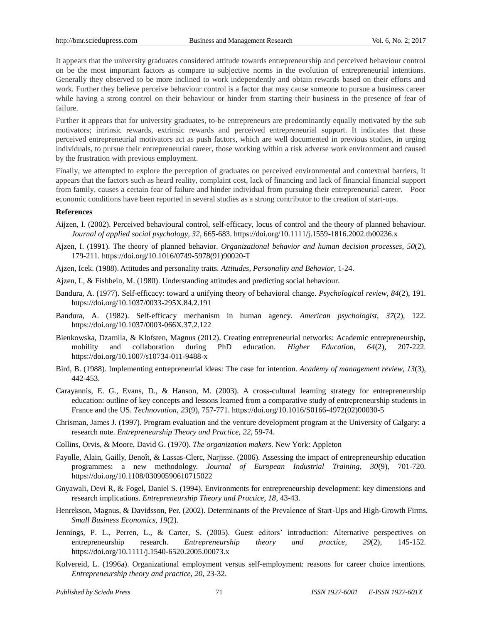It appears that the university graduates considered attitude towards entrepreneurship and perceived behaviour control on be the most important factors as compare to subjective norms in the evolution of entrepreneurial intentions. Generally they observed to be more inclined to work independently and obtain rewards based on their efforts and work. Further they believe perceive behaviour control is a factor that may cause someone to pursue a business career while having a strong control on their behaviour or hinder from starting their business in the presence of fear of failure.

Further it appears that for university graduates, to-be entrepreneurs are predominantly equally motivated by the sub motivators; intrinsic rewards, extrinsic rewards and perceived entrepreneurial support. It indicates that these perceived entrepreneurial motivators act as push factors, which are well documented in previous studies, in urging individuals, to pursue their entrepreneurial career, those working within a risk adverse work environment and caused by the frustration with previous employment.

Finally, we attempted to explore the perception of graduates on perceived environmental and contextual barriers, It appears that the factors such as heard reality, complaint cost, lack of financing and lack of financial financial support from family, causes a certain fear of failure and hinder individual from pursuing their entrepreneurial career. Poor economic conditions have been reported in several studies as a strong contributor to the creation of start-ups.

#### **References**

- Aijzen, I. (2002). Perceived behavioural control, self-efficacy, locus of control and the theory of planned behaviour. *Journal of applied social psychology, 32*, 665-683. <https://doi.org/10.1111/j.1559-1816.2002.tb00236.x>
- Ajzen, I. (1991). The theory of planned behavior. *Organizational behavior and human decision processes, 50*(2), 179-211. [https://doi.org/10.1016/0749-5978\(91\)90020-T](https://doi.org/10.1016/0749-5978(91)90020-T)
- Ajzen, Icek. (1988). Attitudes and personality traits. *Attitudes, Personality and Behavior*, 1-24.
- Ajzen, I., & Fishbein, M. (1980). Understanding attitudes and predicting social behaviour.
- Bandura, A. (1977). Self-efficacy: toward a unifying theory of behavioral change. *Psychological review, 84*(2), 191. <https://doi.org/10.1037/0033-295X.84.2.191>
- Bandura, A. (1982). Self-efficacy mechanism in human agency. *American psychologist, 37*(2), 122. <https://doi.org/10.1037/0003-066X.37.2.122>
- Bienkowska, Dzamila, & Klofsten, Magnus (2012). Creating entrepreneurial networks: Academic entrepreneurship, mobility and collaboration during PhD education. *Higher Education, 64*(2), 207-222. <https://doi.org/10.1007/s10734-011-9488-x>
- Bird, B. (1988). Implementing entrepreneurial ideas: The case for intention. *Academy of management review, 13*(3), 442-453.
- Carayannis, E. G., Evans, D., & Hanson, M. (2003). A cross-cultural learning strategy for entrepreneurship education: outline of key concepts and lessons learned from a comparative study of entrepreneurship students in France and the US. *Technovation, 23*(9), 757-771. [https://doi.org/10.1016/S0166-4972\(02\)00030-5](https://doi.org/10.1016/S0166-4972(02)00030-5)
- Chrisman, James J. (1997). Program evaluation and the venture development program at the University of Calgary: a research note. *Entrepreneurship Theory and Practice, 22*, 59-74.
- Collins, Orvis, & Moore, David G. (1970). *The organization makers*. New York: Appleton
- Fayolle, Alain, Gailly, Beno î, & Lassas-Clerc, Narjisse. (2006). Assessing the impact of entrepreneurship education programmes: a new methodology. *Journal of European Industrial Training, 30*(9), 701-720. <https://doi.org/10.1108/03090590610715022>
- Gnyawali, Devi R, & Fogel, Daniel S. (1994). Environments for entrepreneurship development: key dimensions and research implications. *Entrepreneurship Theory and Practice, 18*, 43-43.
- Henrekson, Magnus, & Davidsson, Per. (2002). Determinants of the Prevalence of Start-Ups and High-Growth Firms. *Small Business Economics, 19*(2).
- Jennings, P. L., Perren, L., & Carter, S. (2005). Guest editors' introduction: Alternative perspectives on entrepreneurship research. *Entrepreneurship theory and practice, 29*(2), 145-152. <https://doi.org/10.1111/j.1540-6520.2005.00073.x>
- Kolvereid, L. (1996a). Organizational employment versus self-employment: reasons for career choice intentions. *Entrepreneurship theory and practice, 20*, 23-32.